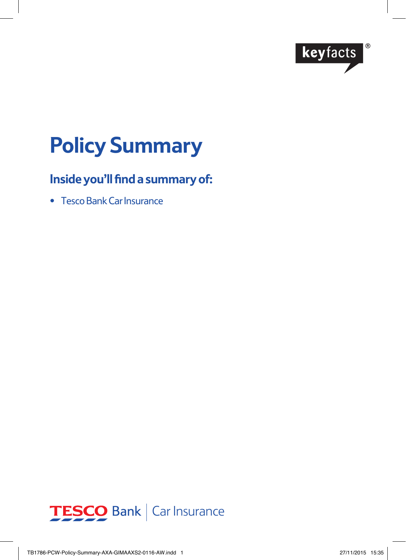

# **Policy Summary**

# **Inside you'll find a summary of:**

• Tesco Bank Car Insurance

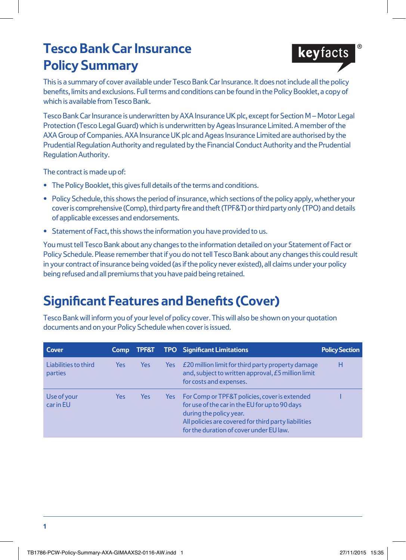# **Tesco Bank Car Insurance Policy Summary**



This is a summary of cover available under Tesco Bank Car Insurance. It does not include all the policy benefits, limits and exclusions. Full terms and conditions can be found in the Policy Booklet, a copy of which is available from Tesco Bank.

Tesco Bank Car Insurance is underwritten by AXA Insurance UK plc, except for Section M – Motor Legal Protection (Tesco Legal Guard) which is underwritten by Ageas Insurance Limited. A member of the AXA Group of Companies. AXA Insurance UK plc and Ageas Insurance Limited are authorised by the Prudential Regulation Authority and regulated by the Financial Conduct Authority and the Prudential Regulation Authority.

The contract is made up of:

- **•** The Policy Booklet, this gives full details of the terms and conditions.
- **•** Policy Schedule, this shows the period of insurance, which sections of the policy apply, whether your cover is comprehensive (Comp), third party fire and theft (TPF&T) or third party only (TPO) and details of applicable excesses and endorsements.
- **•** Statement of Fact, this shows the information you have provided to us.

You must tell Tesco Bank about any changes to the information detailed on your Statement of Fact or Policy Schedule. Please remember that if you do not tell Tesco Bank about any changes this could result in your contract of insurance being voided (as if the policy never existed), all claims under your policy being refused and all premiums that you have paid being retained.

# **Significant Features and Benefits (Cover)**

Tesco Bank will inform you of your level of policy cover. This will also be shown on your quotation documents and on your Policy Schedule when cover is issued.

| Cover                           | <b>Comp</b> | TPF&T |      | <b>TPO</b> Significant Limitations                                                                                                                                                                                            | <b>Policy Section</b> |
|---------------------------------|-------------|-------|------|-------------------------------------------------------------------------------------------------------------------------------------------------------------------------------------------------------------------------------|-----------------------|
| Liabilities to third<br>parties | <b>Yes</b>  | Yes   | Yes  | £20 million limit for third party property damage<br>and, subject to written approval, £5 million limit<br>for costs and expenses.                                                                                            | Н                     |
| Use of your<br>car in EU        | Yes         | Yes   | Yes: | For Comp or TPF&T policies, cover is extended<br>for use of the car in the EU for up to 90 days<br>during the policy year.<br>All policies are covered for third party liabilities<br>for the duration of cover under EU law. |                       |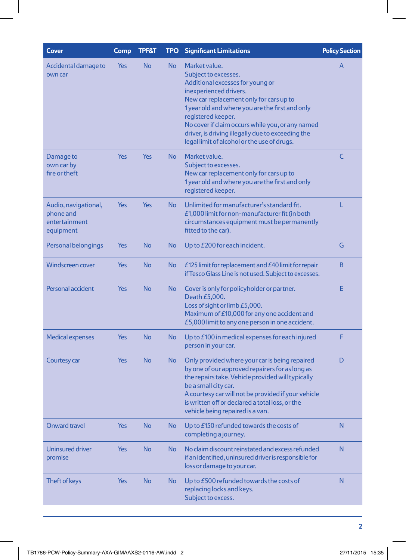| <b>No</b><br>No<br>Market value.<br>Accidental damage to<br>Yes<br>A<br>Subject to excesses.<br>own car<br>Additional excesses for young or<br>inexperienced drivers.<br>New car replacement only for cars up to<br>1 year old and where you are the first and only<br>registered keeper.<br>No cover if claim occurs while you, or any named<br>driver, is driving illegally due to exceeding the<br>legal limit of alcohol or the use of drugs.<br>Yes<br><b>Yes</b><br>No<br>Market value.<br>C<br>Damage to<br>own car by<br>Subject to excesses.<br>fire or theft<br>New car replacement only for cars up to<br>1 year old and where you are the first and only<br>registered keeper.<br>Yes<br>No<br>Unlimited for manufacturer's standard fit.<br>L<br>Audio, navigational,<br>Yes<br>phone and<br>£1,000 limit for non-manufacturer fit (in both<br>entertainment<br>circumstances equipment must be permanently<br>fitted to the car).<br>equipment<br>Yes<br><b>No</b><br>No<br>G<br>Personal belongings<br>Up to £200 for each incident.<br>B<br><b>Windscreen cover</b><br><b>No</b><br>£125 limit for replacement and $E40$ limit for repair<br>Yes<br>No<br>if Tesco Glass Line is not used. Subject to excesses.<br><b>No</b><br>Personal accident<br>Yes<br>No<br>Е<br>Cover is only for policyholder or partner.<br>Death £5,000.<br>Loss of sight or limb £5,000.<br>Maximum of £10,000 for any one accident and<br>£5,000 limit to any one person in one accident.<br><b>No</b><br>No<br>F<br><b>Medical expenses</b><br>Yes<br>Up to £100 in medical expenses for each injured<br>person in your car.<br><b>No</b><br>Only provided where your car is being repaired<br>D<br>Courtesy car<br>Yes<br>No<br>by one of our approved repairers for as long as<br>the repairs take. Vehicle provided will typically<br>be a small city car.<br>A courtesy car will not be provided if your vehicle<br>is written off or declared a total loss, or the<br>vehicle being repaired is a van.<br><b>Onward travel</b><br><b>No</b><br>No<br>Up to £150 refunded towards the costs of<br>N<br>Yes<br>completing a journey.<br>N<br><b>Uninsured driver</b><br>Yes<br><b>No</b><br>No<br>No claim discount reinstated and excess refunded<br>if an identified, uninsured driver is responsible for<br>promise<br>loss or damage to your car.<br><b>No</b><br>N<br>Theft of keys<br>Yes<br>No<br>Up to £500 refunded towards the costs of<br>replacing locks and keys.<br>Subject to excess. | Cover | Comp | <b>TPF&amp;T</b> | <b>TPO</b> | <b>Significant Limitations</b> | <b>Policy Section</b> |
|------------------------------------------------------------------------------------------------------------------------------------------------------------------------------------------------------------------------------------------------------------------------------------------------------------------------------------------------------------------------------------------------------------------------------------------------------------------------------------------------------------------------------------------------------------------------------------------------------------------------------------------------------------------------------------------------------------------------------------------------------------------------------------------------------------------------------------------------------------------------------------------------------------------------------------------------------------------------------------------------------------------------------------------------------------------------------------------------------------------------------------------------------------------------------------------------------------------------------------------------------------------------------------------------------------------------------------------------------------------------------------------------------------------------------------------------------------------------------------------------------------------------------------------------------------------------------------------------------------------------------------------------------------------------------------------------------------------------------------------------------------------------------------------------------------------------------------------------------------------------------------------------------------------------------------------------------------------------------------------------------------------------------------------------------------------------------------------------------------------------------------------------------------------------------------------------------------------------------------------------------------------------------------------------------------------------------------------------------------------------------------------------------------------------------------------------------------------------------------------------------|-------|------|------------------|------------|--------------------------------|-----------------------|
|                                                                                                                                                                                                                                                                                                                                                                                                                                                                                                                                                                                                                                                                                                                                                                                                                                                                                                                                                                                                                                                                                                                                                                                                                                                                                                                                                                                                                                                                                                                                                                                                                                                                                                                                                                                                                                                                                                                                                                                                                                                                                                                                                                                                                                                                                                                                                                                                                                                                                                      |       |      |                  |            |                                |                       |
|                                                                                                                                                                                                                                                                                                                                                                                                                                                                                                                                                                                                                                                                                                                                                                                                                                                                                                                                                                                                                                                                                                                                                                                                                                                                                                                                                                                                                                                                                                                                                                                                                                                                                                                                                                                                                                                                                                                                                                                                                                                                                                                                                                                                                                                                                                                                                                                                                                                                                                      |       |      |                  |            |                                |                       |
|                                                                                                                                                                                                                                                                                                                                                                                                                                                                                                                                                                                                                                                                                                                                                                                                                                                                                                                                                                                                                                                                                                                                                                                                                                                                                                                                                                                                                                                                                                                                                                                                                                                                                                                                                                                                                                                                                                                                                                                                                                                                                                                                                                                                                                                                                                                                                                                                                                                                                                      |       |      |                  |            |                                |                       |
|                                                                                                                                                                                                                                                                                                                                                                                                                                                                                                                                                                                                                                                                                                                                                                                                                                                                                                                                                                                                                                                                                                                                                                                                                                                                                                                                                                                                                                                                                                                                                                                                                                                                                                                                                                                                                                                                                                                                                                                                                                                                                                                                                                                                                                                                                                                                                                                                                                                                                                      |       |      |                  |            |                                |                       |
|                                                                                                                                                                                                                                                                                                                                                                                                                                                                                                                                                                                                                                                                                                                                                                                                                                                                                                                                                                                                                                                                                                                                                                                                                                                                                                                                                                                                                                                                                                                                                                                                                                                                                                                                                                                                                                                                                                                                                                                                                                                                                                                                                                                                                                                                                                                                                                                                                                                                                                      |       |      |                  |            |                                |                       |
|                                                                                                                                                                                                                                                                                                                                                                                                                                                                                                                                                                                                                                                                                                                                                                                                                                                                                                                                                                                                                                                                                                                                                                                                                                                                                                                                                                                                                                                                                                                                                                                                                                                                                                                                                                                                                                                                                                                                                                                                                                                                                                                                                                                                                                                                                                                                                                                                                                                                                                      |       |      |                  |            |                                |                       |
|                                                                                                                                                                                                                                                                                                                                                                                                                                                                                                                                                                                                                                                                                                                                                                                                                                                                                                                                                                                                                                                                                                                                                                                                                                                                                                                                                                                                                                                                                                                                                                                                                                                                                                                                                                                                                                                                                                                                                                                                                                                                                                                                                                                                                                                                                                                                                                                                                                                                                                      |       |      |                  |            |                                |                       |
|                                                                                                                                                                                                                                                                                                                                                                                                                                                                                                                                                                                                                                                                                                                                                                                                                                                                                                                                                                                                                                                                                                                                                                                                                                                                                                                                                                                                                                                                                                                                                                                                                                                                                                                                                                                                                                                                                                                                                                                                                                                                                                                                                                                                                                                                                                                                                                                                                                                                                                      |       |      |                  |            |                                |                       |
|                                                                                                                                                                                                                                                                                                                                                                                                                                                                                                                                                                                                                                                                                                                                                                                                                                                                                                                                                                                                                                                                                                                                                                                                                                                                                                                                                                                                                                                                                                                                                                                                                                                                                                                                                                                                                                                                                                                                                                                                                                                                                                                                                                                                                                                                                                                                                                                                                                                                                                      |       |      |                  |            |                                |                       |
|                                                                                                                                                                                                                                                                                                                                                                                                                                                                                                                                                                                                                                                                                                                                                                                                                                                                                                                                                                                                                                                                                                                                                                                                                                                                                                                                                                                                                                                                                                                                                                                                                                                                                                                                                                                                                                                                                                                                                                                                                                                                                                                                                                                                                                                                                                                                                                                                                                                                                                      |       |      |                  |            |                                |                       |
|                                                                                                                                                                                                                                                                                                                                                                                                                                                                                                                                                                                                                                                                                                                                                                                                                                                                                                                                                                                                                                                                                                                                                                                                                                                                                                                                                                                                                                                                                                                                                                                                                                                                                                                                                                                                                                                                                                                                                                                                                                                                                                                                                                                                                                                                                                                                                                                                                                                                                                      |       |      |                  |            |                                |                       |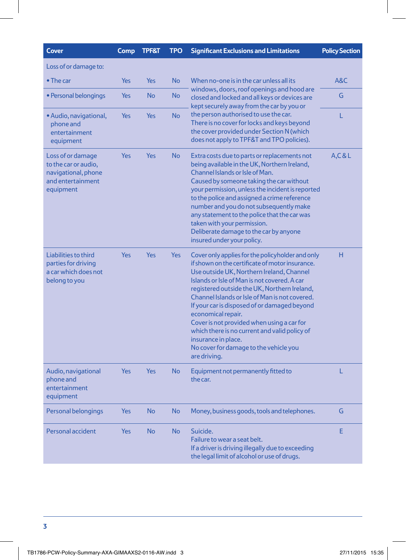| <b>Cover</b>                                                                                       | Comp       | <b>TPF&amp;T</b> | <b>TPO</b> | <b>Significant Exclusions and Limitations</b>                                                                                                                                                                                                                                                                                                                                                                                                                                                                                                            | <b>Policy Section</b> |
|----------------------------------------------------------------------------------------------------|------------|------------------|------------|----------------------------------------------------------------------------------------------------------------------------------------------------------------------------------------------------------------------------------------------------------------------------------------------------------------------------------------------------------------------------------------------------------------------------------------------------------------------------------------------------------------------------------------------------------|-----------------------|
| Loss of or damage to:                                                                              |            |                  |            |                                                                                                                                                                                                                                                                                                                                                                                                                                                                                                                                                          |                       |
| $\bullet$ The car                                                                                  | <b>Yes</b> | Yes              | <b>No</b>  | When no-one is in the car unless all its<br>windows, doors, roof openings and hood are<br>closed and locked and all keys or devices are<br>kept securely away from the car by you or                                                                                                                                                                                                                                                                                                                                                                     | A&C                   |
| • Personal belongings                                                                              | Yes        | <b>No</b>        | <b>No</b>  |                                                                                                                                                                                                                                                                                                                                                                                                                                                                                                                                                          | G                     |
| • Audio, navigational,<br>phone and<br>entertainment<br>equipment                                  | Yes        | <b>Yes</b>       | <b>No</b>  | the person authorised to use the car.<br>There is no cover for locks and keys beyond<br>the cover provided under Section N (which<br>does not apply to TPF&T and TPO policies).                                                                                                                                                                                                                                                                                                                                                                          | L                     |
| Loss of or damage<br>to the car or audio,<br>navigational, phone<br>and entertainment<br>equipment | <b>Yes</b> | <b>Yes</b>       | <b>No</b>  | Extra costs due to parts or replacements not<br>being available in the UK, Northern Ireland,<br>Channel Islands or Isle of Man.<br>Caused by someone taking the car without<br>your permission, unless the incident is reported<br>to the police and assigned a crime reference<br>number and you do not subsequently make<br>any statement to the police that the car was<br>taken with your permission.<br>Deliberate damage to the car by anyone<br>insured under your policy.                                                                        | A, C & L              |
| Liabilities to third<br>parties for driving<br>a car which does not<br>belong to you               | Yes        | <b>Yes</b>       | <b>Yes</b> | Cover only applies for the policyholder and only<br>if shown on the certificate of motor insurance.<br>Use outside UK, Northern Ireland, Channel<br>Islands or Isle of Man is not covered. A car<br>registered outside the UK, Northern Ireland,<br>Channel Islands or Isle of Man is not covered.<br>If your car is disposed of or damaged beyond<br>economical repair.<br>Cover is not provided when using a car for<br>which there is no current and valid policy of<br>insurance in place.<br>No cover for damage to the vehicle you<br>are driving. | н                     |
| Audio, navigational<br>phone and<br>entertainment<br>equipment                                     | Yes        | Yes              | <b>No</b>  | Equipment not permanently fitted to<br>the car.                                                                                                                                                                                                                                                                                                                                                                                                                                                                                                          | L                     |
| Personal belongings                                                                                | Yes        | <b>No</b>        | <b>No</b>  | Money, business goods, tools and telephones.                                                                                                                                                                                                                                                                                                                                                                                                                                                                                                             | G                     |
| Personal accident                                                                                  | Yes        | <b>No</b>        | <b>No</b>  | Suicide.<br>Failure to wear a seat belt.<br>If a driver is driving illegally due to exceeding<br>the legal limit of alcohol or use of drugs.                                                                                                                                                                                                                                                                                                                                                                                                             | E                     |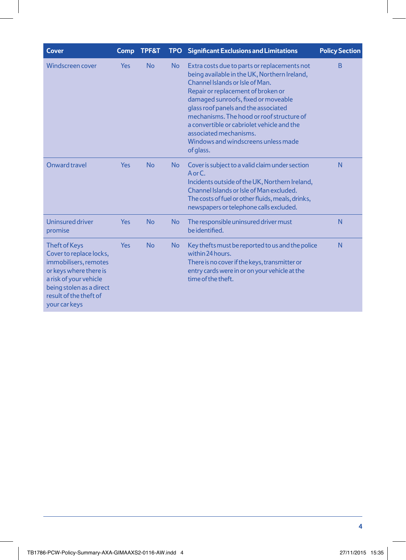| <b>Cover</b>                                                                                                                                                                                        | <b>Comp</b> | TPF&T     |           | <b>TPO</b> Significant Exclusions and Limitations                                                                                                                                                                                                                                                                                                                                                                             | <b>Policy Section</b> |
|-----------------------------------------------------------------------------------------------------------------------------------------------------------------------------------------------------|-------------|-----------|-----------|-------------------------------------------------------------------------------------------------------------------------------------------------------------------------------------------------------------------------------------------------------------------------------------------------------------------------------------------------------------------------------------------------------------------------------|-----------------------|
| Windscreen cover                                                                                                                                                                                    | <b>Yes</b>  | <b>No</b> | <b>No</b> | Extra costs due to parts or replacements not<br>being available in the UK, Northern Ireland,<br>Channel Islands or Isle of Man.<br>Repair or replacement of broken or<br>damaged sunroofs, fixed or moveable<br>glass roof panels and the associated<br>mechanisms. The hood or roof structure of<br>a convertible or cabriolet vehicle and the<br>associated mechanisms.<br>Windows and windscreens unless made<br>of glass. | B                     |
| Onward travel                                                                                                                                                                                       | <b>Yes</b>  | <b>No</b> | No        | Cover is subject to a valid claim under section<br>$A$ or $C$ .<br>Incidents outside of the UK, Northern Ireland,<br>Channel Islands or Isle of Man excluded.<br>The costs of fuel or other fluids, meals, drinks,<br>newspapers or telephone calls excluded.                                                                                                                                                                 | N                     |
| <b>Uninsured driver</b><br>promise                                                                                                                                                                  | <b>Yes</b>  | <b>No</b> | <b>No</b> | The responsible uninsured driver must<br>be identified.                                                                                                                                                                                                                                                                                                                                                                       | N                     |
| <b>Theft of Keys</b><br>Cover to replace locks,<br>immobilisers, remotes<br>or keys where there is<br>a risk of your vehicle<br>being stolen as a direct<br>result of the theft of<br>your car keys | <b>Yes</b>  | <b>No</b> | <b>No</b> | Key thefts must be reported to us and the police<br>within 24 hours.<br>There is no cover if the keys, transmitter or<br>entry cards were in or on your vehicle at the<br>time of the theft.                                                                                                                                                                                                                                  |                       |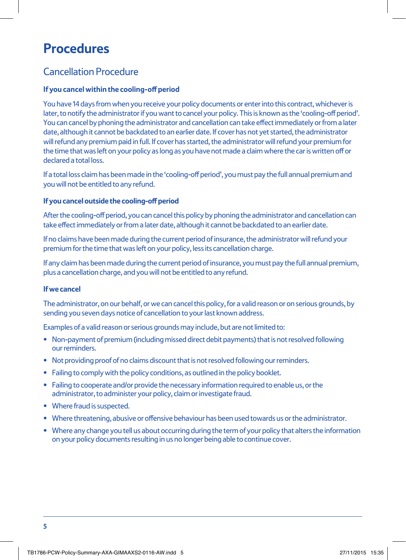# **Procedures**

### Cancellation Procedure

#### **If you cancel within the cooling-off period**

You have 14 days from when you receive your policy documents or enter into this contract, whichever is later, to notify the administrator if you want to cancel your policy. This is known as the 'cooling-off period'. You can cancel by phoning the administrator and cancellation can take effect immediately or from a later date, although it cannot be backdated to an earlier date. If cover has not yet started, the administrator will refund any premium paid in full. If cover has started, the administrator will refund your premium for the time that was left on your policy as long as you have not made a claim where the car is written off or declared a total loss.

If a total loss claim has been made in the 'cooling-off period', you must pay the full annual premium and you will not be entitled to any refund.

#### **If you cancel outside the cooling-off period**

After the cooling-off period, you can cancel this policy by phoning the administrator and cancellation can take effect immediately or from a later date, although it cannot be backdated to an earlier date.

If no claims have been made during the current period of insurance, the administrator will refund your premium for the time that was left on your policy, less its cancellation charge.

If any claim has been made during the current period of insurance, you must pay the full annual premium, plus a cancellation charge, and you will not be entitled to any refund.

#### **If we cancel**

The administrator, on our behalf, or we can cancel this policy, for a valid reason or on serious grounds, by sending you seven days notice of cancellation to your last known address.

Examples of a valid reason or serious grounds may include, but are not limited to:

- Non-payment of premium (including missed direct debit payments) that is not resolved following our reminders.
- Not providing proof of no claims discount that is not resolved following our reminders.
- Failing to comply with the policy conditions, as outlined in the policy booklet.
- Failing to cooperate and/or provide the necessary information required to enable us, or the administrator, to administer your policy, claim or investigate fraud.
- Where fraud is suspected.
- Where threatening, abusive or offensive behaviour has been used towards us or the administrator.
- Where any change you tell us about occurring during the term of your policy that alters the information on your policy documents resulting in us no longer being able to continue cover.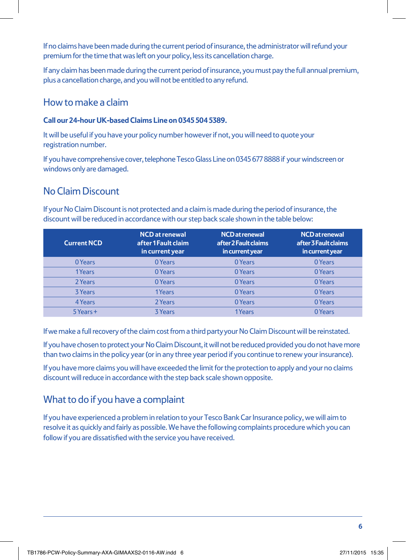If no claims have been made during the current period of insurance, the administrator will refund your premium for the time that was left on your policy, less its cancellation charge.

If any claim has been made during the current period of insurance, you must pay the full annual premium, plus a cancellation charge, and you will not be entitled to any refund.

### How to make a claim

### **Call our 24-hour UK-based Claims Line on 0345 504 5389.**

It will be useful if you have your policy number however if not, you will need to quote your registration number.

If you have comprehensive cover, telephone Tesco Glass Line on 0345 677 8888 if your windscreen or windows only are damaged.

# No Claim Discount

If your No Claim Discount is not protected and a claim is made during the period of insurance, the discount will be reduced in accordance with our step back scale shown in the table below:

| <b>Current NCD</b> | <b>NCD</b> at renewal<br>after 1 Fault claim<br>in current year | NCD at renewal<br>after 2 Fault claims<br>in current year | <b>NCD</b> at renewal<br>after 3 Fault claims<br>in current year |
|--------------------|-----------------------------------------------------------------|-----------------------------------------------------------|------------------------------------------------------------------|
| 0 Years            | 0 Years                                                         | 0 Years                                                   | 0 Years                                                          |
| 1Years             | 0 Years                                                         | 0 Years                                                   | 0 Years                                                          |
| 2 Years            | 0 Years                                                         | 0 Years                                                   | 0 Years                                                          |
| 3 Years            | 1Years                                                          | 0 Years                                                   | 0 Years                                                          |
| 4 Years            | 2 Years                                                         | 0 Years                                                   | 0 Years                                                          |
| 5 Years +          | <b>3 Years</b>                                                  | 1Years                                                    | 0 Years                                                          |

If we make a full recovery of the claim cost from a third party your No Claim Discount will be reinstated.

If you have chosen to protect your No Claim Discount, it will not be reduced provided you do not have more than two claims in the policy year (or in any three year period if you continue to renew your insurance).

If you have more claims you will have exceeded the limit for the protection to apply and your no claims discount will reduce in accordance with the step back scale shown opposite.

# What to do if you have a complaint

If you have experienced a problem in relation to your Tesco Bank Car Insurance policy, we will aim to resolve it as quickly and fairly as possible. We have the following complaints procedure which you can follow if you are dissatisfied with the service you have received.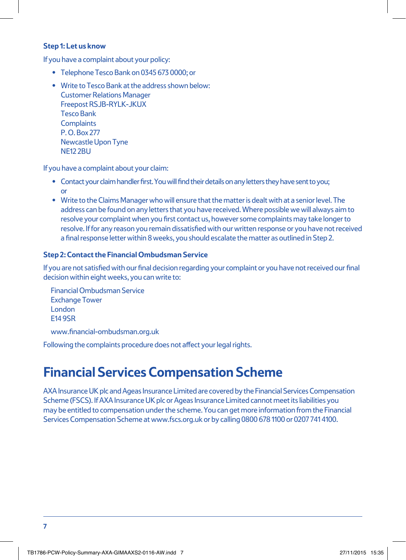#### **Step 1: Let us know**

If you have a complaint about your policy:

- Telephone Tesco Bank on 0345 673 0000; or
- Write to Tesco Bank at the address shown below: Customer Relations Manager Freepost RSJB-RYLK-JKUX Tesco Bank **Complaints** P. O. Box 277 Newcastle Upon Tyne NF<sub>12</sub> 2BU

If you have a complaint about your claim:

- Contact your claim handler first. You will find their details on any letters they have sent to you; or
- Write to the Claims Manager who will ensure that the matter is dealt with at a senior level. The address can be found on any letters that you have received. Where possible we will always aim to resolve your complaint when you first contact us, however some complaints may take longer to resolve. If for any reason you remain dissatisfied with our written response or you have not received a final response letter within 8 weeks, you should escalate the matter as outlined in Step 2.

### **Step 2: Contact the Financial Ombudsman Service**

If you are not satisfied with our final decision regarding your complaint or you have not received our final decision within eight weeks, you can write to:

Financial Ombudsman Service Exchange Tower London E14 9SR

www.financial-ombudsman.org.uk

Following the complaints procedure does not affect your legal rights.

# **Financial Services Compensation Scheme**

AXA Insurance UK plc and Ageas Insurance Limited are covered by the Financial Services Compensation Scheme (FSCS). If AXA Insurance UK plc or Ageas Insurance Limited cannot meet its liabilities you may be entitled to compensation under the scheme. You can get more information from the Financial Services Compensation Scheme at www.fscs.org.uk or by calling 0800 678 1100 or 0207 741 4100.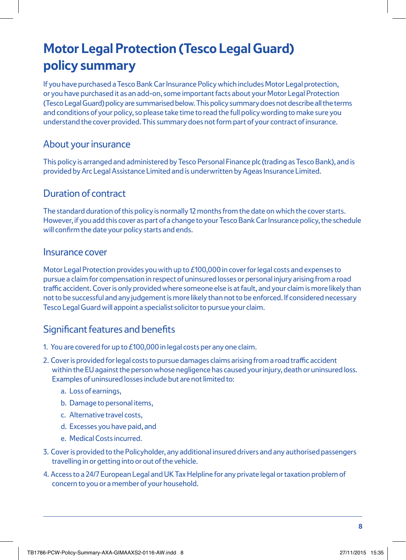# **Motor Legal Protection (Tesco Legal Guard) policy summary**

If you have purchased a Tesco Bank Car Insurance Policy which includes Motor Legal protection, or you have purchased it as an add-on, some important facts about your Motor Legal Protection (Tesco Legal Guard) policy are summarised below. This policy summary does not describe all the terms and conditions of your policy, so please take time to read the full policy wording to make sure you understand the cover provided. This summary does not form part of your contract of insurance.

### About your insurance

This policy is arranged and administered by Tesco Personal Finance plc (trading as Tesco Bank), and is provided by Arc Legal Assistance Limited and is underwritten by Ageas Insurance Limited.

### Duration of contract

The standard duration of this policy is normally 12 months from the date on which the cover starts. However, if you add this cover as part of a change to your Tesco Bank Car Insurance policy, the schedule will confirm the date your policy starts and ends.

### Insurance cover

Motor Legal Protection provides you with up to £100,000 in cover for legal costs and expenses to pursue a claim for compensation in respect of uninsured losses or personal injury arising from a road traffic accident. Cover is only provided where someone else is at fault, and your claim is more likely than not to be successful and any judgement is more likely than not to be enforced. If considered necessary Tesco Legal Guard will appoint a specialist solicitor to pursue your claim.

### Significant features and benefits

- 1. You are covered for up to £100,000 in legal costs per any one claim.
- 2. Cover is provided for legal costs to pursue damages claims arising from a road traffic accident within the EU against the person whose negligence has caused your injury, death or uninsured loss. Examples of uninsured losses include but are not limited to:
	- a. Loss of earnings,
	- b. Damage to personal items,
	- c. Alternative travel costs,
	- d. Excesses you have paid, and
	- e. Medical Costs incurred.
- 3. Cover is provided to the Policyholder, any additional insured drivers and any authorised passengers travelling in or getting into or out of the vehicle.
- 4. Access to a 24/7 European Legal and UK Tax Helpline for any private legal or taxation problem of concern to you or a member of your household.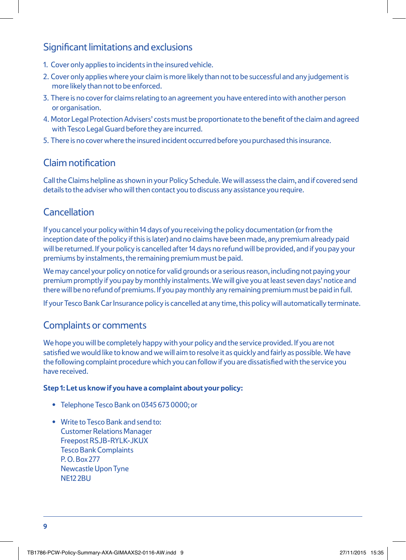### Significant limitations and exclusions

- 1. Cover only applies to incidents in the insured vehicle.
- 2. Cover only applies where your claim is more likely than not to be successful and any judgement is more likely than not to be enforced.
- 3. There is no cover for claims relating to an agreement you have entered into with another person or organisation.
- 4. Motor Legal Protection Advisers' costs must be proportionate to the benefit of the claim and agreed with Tesco Legal Guard before they are incurred.
- 5. There is no cover where the insured incident occurred before you purchased this insurance.

### Claim notification

Call the Claims helpline as shown in your Policy Schedule. We will assess the claim, and if covered send details to the adviser who will then contact you to discuss any assistance you require.

## **Cancellation**

If you cancel your policy within 14 days of you receiving the policy documentation (or from the inception date of the policy if this is later) and no claims have been made, any premium already paid will be returned. If your policy is cancelled after 14 days no refund will be provided, and if you pay your premiums by instalments, the remaining premium must be paid.

We may cancel your policy on notice for valid grounds or a serious reason, including not paying your premium promptly if you pay by monthly instalments. We will give you at least seven days' notice and there will be no refund of premiums. If you pay monthly any remaining premium must be paid in full.

If your Tesco Bank Car Insurance policy is cancelled at any time, this policy will automatically terminate.

### Complaints or comments

We hope you will be completely happy with your policy and the service provided. If you are not satisfied we would like to know and we will aim to resolve it as quickly and fairly as possible. We have the following complaint procedure which you can follow if you are dissatisfied with the service you have received.

#### **Step 1: Let us know if you have a complaint about your policy:**

- Telephone Tesco Bank on 0345 673 0000; or
- Write to Tesco Bank and send to: Customer Relations Manager Freepost RSJB-RYLK-JKUX Tesco Bank Complaints P. O. Box 277 Newcastle Upon Tyne NE12 2BU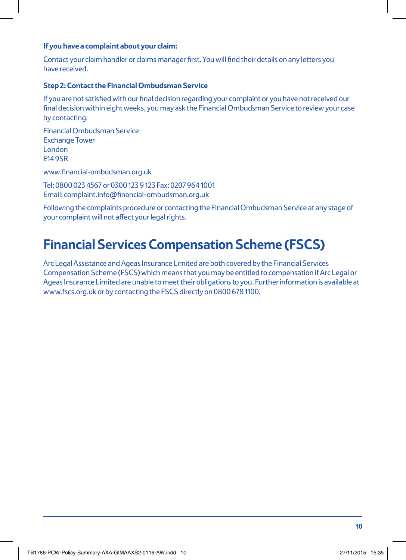#### **If you have a complaint about your claim:**

Contact your claim handler or claims manager first. You will find their details on any letters you have received.

#### **Step 2: Contact the Financial Ombudsman Service**

If you are not satisfied with our final decision regarding your complaint or you have not received our final decision within eight weeks, you may ask the Financial Ombudsman Service to review your case by contacting:

Financial Ombudsman Service Exchange Tower London E14 9SR

www.financial-ombudsman.org.uk

Tel: 0800 023 4567 or 0300 123 9 123 Fax: 0207 964 1001 Email: complaint.info@financial-ombudsman.org.uk

Following the complaints procedure or contacting the Financial Ombudsman Service at any stage of your complaint will not affect your legal rights.

# **Financial Services Compensation Scheme (FSCS)**

Arc Legal Assistance and Ageas Insurance Limited are both covered by the Financial Services Compensation Scheme (FSCS) which means that you may be entitled to compensation if Arc Legal or Ageas Insurance Limited are unable to meet their obligations to you. Further information is available at www.fscs.org.uk or by contacting the FSCS directly on 0800 678 1100.